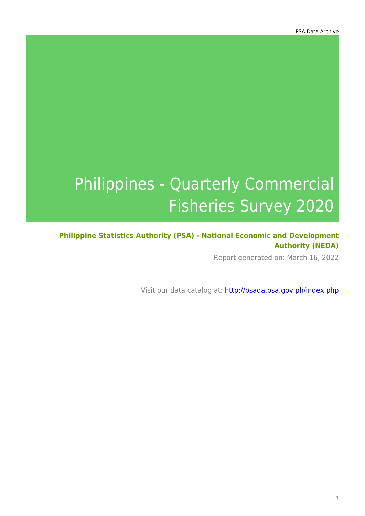# Philippines - Quarterly Commercial Fisheries Survey 2020

## **Philippine Statistics Authority (PSA) - National Economic and Development Authority (NEDA)**

Report generated on: March 16, 2022

Visit our data catalog at: http://psada.psa.gov.ph/index.php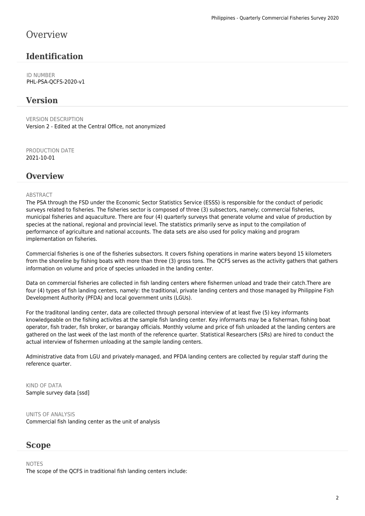## **Overview**

## **Identification**

ID NUMBER PHL-PSA-QCFS-2020-v1

## **Version**

VERSION DESCRIPTION Version 2 - Edited at the Central Office, not anonymized

PRODUCTION DATE 2021-10-01

## **Overview**

## **ABSTRACT**

The PSA through the FSD under the Economic Sector Statistics Service (ESSS) is responsible for the conduct of periodic surveys related to fisheries. The fisheries sector is composed of three (3) subsectors, namely; commercial fisheries, municipal fisheries and aquaculture. There are four (4) quarterly surveys that generate volume and value of production by species at the national, regional and provincial level. The statistics primarily serve as input to the compilation of performance of agriculture and national accounts. The data sets are also used for policy making and program implementation on fisheries.

Commercial fisheries is one of the fisheries subsectors. It covers fishing operations in marine waters beyond 15 kilometers from the shoreline by fishing boats with more than three (3) gross tons. The QCFS serves as the activity gathers that gathers information on volume and price of species unloaded in the landing center.

Data on commercial fisheries are collected in fish landing centers where fishermen unload and trade their catch.There are four (4) types of fish landing centers, namely: the traditional, private landing centers and those managed by Philippine Fish Development Authority (PFDA) and local government units (LGUs).

For the traditonal landing center, data are collected through personal interview of at least five (5) key informants knowledgeable on the fishing activites at the sample fish landing center. Key informants may be a fisherman, fishing boat operator, fish trader, fish broker, or barangay officials. Monthly volume and price of fish unloaded at the landing centers are gathered on the last week of the last month of the reference quarter. Statistical Researchers (SRs) are hired to conduct the actual interview of fishermen unloading at the sample landing centers.

Administrative data from LGU and privately-managed, and PFDA landing centers are collected by regular staff during the reference quarter.

KIND OF DATA Sample survey data [ssd]

UNITS OF ANALYSIS Commercial fish landing center as the unit of analysis

## **Scope**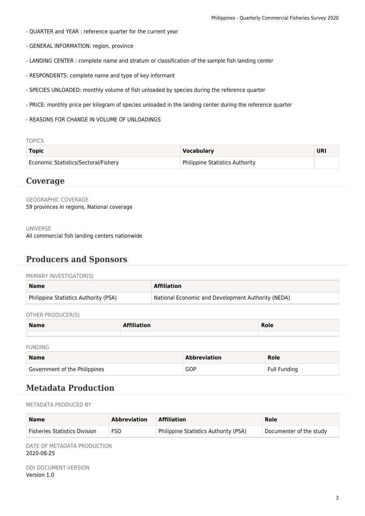- QUARTER and YEAR : reference quarter for the current year
- GENERAL INFORMATION: region, province
- LANDING CENTER : complete name and stratum or classification of the sample fish landing center
- RESPONDENTS: complete name and type of key informant
- SPECIES UNLOADED: monthly volume of fish unloaded by species during the reference quarter
- PRICE: monthly price per kilogram of species unloaded in the landing center during the reference quarter

## - REASONS FOR CHANGE IN VOLUME OF UNLOADINGS

#### TOPICS

| <b>Topic</b>                         | <b>Vocabulary</b>               | UR. |
|--------------------------------------|---------------------------------|-----|
| Economic Statistics/Sectoral/Fishery | Philippine Statistics Authority |     |

## **Coverage**

GEOGRAPHIC COVERAGE 59 provinces in regions, National coverage

#### UNIVERSE

All commercial fish landing centers nationwide

## **Producers and Sponsors**

### PRIMARY INVESTIGATOR(S)

| <b>Name</b>                           | <b>Affiliation</b>                                 |
|---------------------------------------|----------------------------------------------------|
| Philippine Statistics Authority (PSA) | National Economic and Development Authority (NEDA) |

OTHER PRODUCER(S)

| <b>Name</b> | the contract of the contract of the contract of the contract of the contract of the contract of the contract of | . |
|-------------|-----------------------------------------------------------------------------------------------------------------|---|
|             |                                                                                                                 |   |

#### FUNDING

| <b>Name</b>                   | Abbreviation | Role                |
|-------------------------------|--------------|---------------------|
| Government of the Philippines | GOP          | <b>Full Funding</b> |

## **Metadata Production**

#### METADATA PRODUCED BY

| <b>Name</b>                          | <b>Abbreviation</b> | Affiliation                           | Role                    |
|--------------------------------------|---------------------|---------------------------------------|-------------------------|
| <b>Fisheries Statistics Division</b> | <b>FSD</b>          | Philippine Statistics Authority (PSA) | Documenter of the study |

DATE OF METADATA PRODUCTION 2020-08-25

DDI DOCUMENT VERSION Version 1.0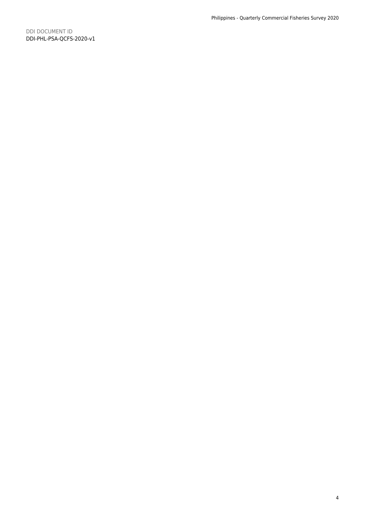DDI DOCUMENT ID DDI-PHL-PSA-QCFS-2020-v1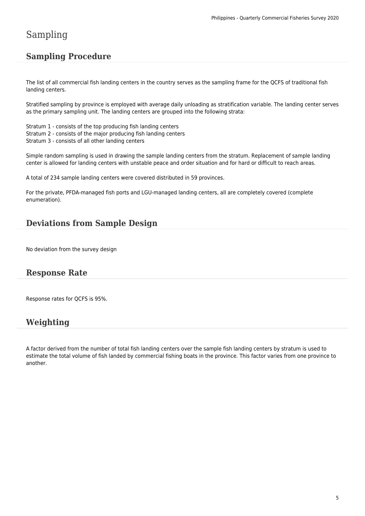## Sampling

## **Sampling Procedure**

The list of all commercial fish landing centers in the country serves as the sampling frame for the QCFS of traditional fish landing centers.

Stratified sampling by province is employed with average daily unloading as stratification variable. The landing center serves as the primary sampling unit. The landing centers are grouped into the following strata:

Stratum 1 - consists of the top producing fish landing centers Stratum 2 - consists of the major producing fish landing centers Stratum 3 - consists of all other landing centers

Simple random sampling is used in drawing the sample landing centers from the stratum. Replacement of sample landing center is allowed for landing centers with unstable peace and order situation and for hard or difficult to reach areas.

A total of 234 sample landing centers were covered distributed in 59 provinces.

For the private, PFDA-managed fish ports and LGU-managed landing centers, all are completely covered (complete enumeration).

## **Deviations from Sample Design**

No deviation from the survey design

## **Response Rate**

Response rates for QCFS is 95%.

## **Weighting**

A factor derived from the number of total fish landing centers over the sample fish landing centers by stratum is used to estimate the total volume of fish landed by commercial fishing boats in the province. This factor varies from one province to another.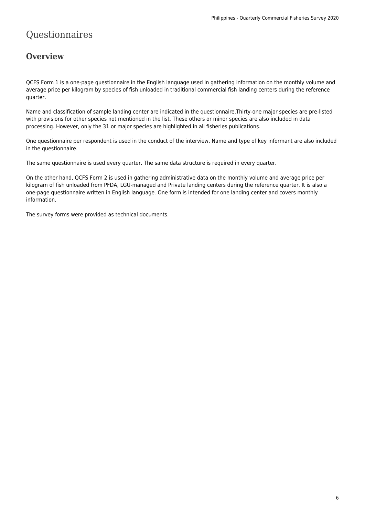## Questionnaires

## **Overview**

QCFS Form 1 is a one-page questionnaire in the English language used in gathering information on the monthly volume and average price per kilogram by species of fish unloaded in traditional commercial fish landing centers during the reference quarter.

Name and classification of sample landing center are indicated in the questionnaire.Thirty-one major species are pre-listed with provisions for other species not mentioned in the list. These others or minor species are also included in data processing. However, only the 31 or major species are highlighted in all fisheries publications.

One questionnaire per respondent is used in the conduct of the interview. Name and type of key informant are also included in the questionnaire.

The same questionnaire is used every quarter. The same data structure is required in every quarter.

On the other hand, QCFS Form 2 is used in gathering administrative data on the monthly volume and average price per kilogram of fish unloaded from PFDA, LGU-managed and Private landing centers during the reference quarter. It is also a one-page questionnaire written in English language. One form is intended for one landing center and covers monthly information.

The survey forms were provided as technical documents.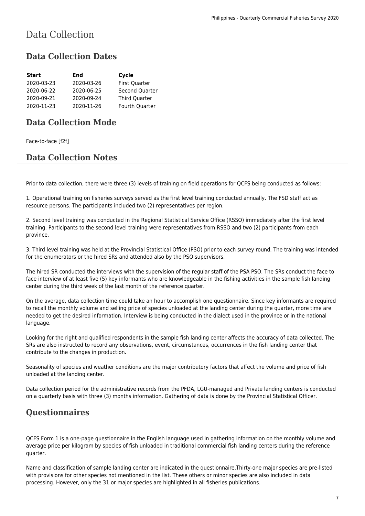## Data Collection

## **Data Collection Dates**

| <b>Start</b> | End        | Cycle          |
|--------------|------------|----------------|
| 2020-03-23   | 2020-03-26 | First Quarter  |
| 2020-06-22   | 2020-06-25 | Second Quarter |
| 2020-09-21   | 2020-09-24 | Third Quarter  |
| 2020-11-23   | 2020-11-26 | Fourth Ouarter |

## **Data Collection Mode**

Face-to-face [f2f]

## **Data Collection Notes**

Prior to data collection, there were three (3) levels of training on field operations for QCFS being conducted as follows:

1. Operational training on fisheries surveys served as the first level training conducted annually. The FSD staff act as resource persons. The participants included two (2) representatives per region.

2. Second level training was conducted in the Regional Statistical Service Office (RSSO) immediately after the first level training. Participants to the second level training were representatives from RSSO and two (2) participants from each province.

3. Third level training was held at the Provincial Statistical Office (PSO) prior to each survey round. The training was intended for the enumerators or the hired SRs and attended also by the PSO supervisors.

The hired SR conducted the interviews with the supervision of the regular staff of the PSA PSO. The SRs conduct the face to face interview of at least five (5) key informants who are knowledgeable in the fishing activities in the sample fish landing center during the third week of the last month of the reference quarter.

On the average, data collection time could take an hour to accomplish one questionnaire. Since key informants are required to recall the monthly volume and selling price of species unloaded at the landing center during the quarter, more time are needed to get the desired information. Interview is being conducted in the dialect used in the province or in the national language.

Looking for the right and qualified respondents in the sample fish landing center affects the accuracy of data collected. The SRs are also instructed to record any observations, event, circumstances, occurrences in the fish landing center that contribute to the changes in production.

Seasonality of species and weather conditions are the major contributory factors that affect the volume and price of fish unloaded at the landing center.

Data collection period for the administrative records from the PFDA, LGU-managed and Private landing centers is conducted on a quarterly basis with three (3) months information. Gathering of data is done by the Provincial Statistical Officer.

## **Questionnaires**

QCFS Form 1 is a one-page questionnaire in the English language used in gathering information on the monthly volume and average price per kilogram by species of fish unloaded in traditional commercial fish landing centers during the reference quarter.

Name and classification of sample landing center are indicated in the questionnaire.Thirty-one major species are pre-listed with provisions for other species not mentioned in the list. These others or minor species are also included in data processing. However, only the 31 or major species are highlighted in all fisheries publications.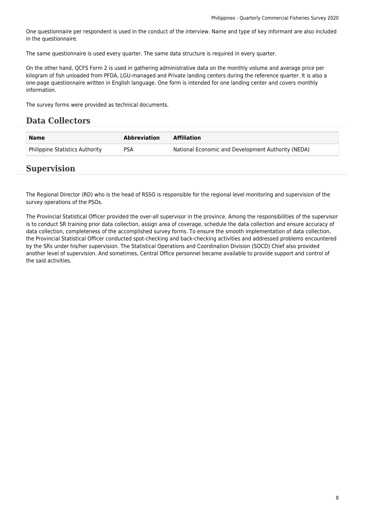One questionnaire per respondent is used in the conduct of the interview. Name and type of key informant are also included in the questionnaire.

The same questionnaire is used every quarter. The same data structure is required in every quarter.

On the other hand, QCFS Form 2 is used in gathering administrative data on the monthly volume and average price per kilogram of fish unloaded from PFDA, LGU-managed and Private landing centers during the reference quarter. It is also a one-page questionnaire written in English language. One form is intended for one landing center and covers monthly information.

The survey forms were provided as technical documents.

## **Data Collectors**

| <b>Name</b>                            | <b>Abbreviation</b> | <b>Affiliation</b>                                 |
|----------------------------------------|---------------------|----------------------------------------------------|
| <b>Philippine Statistics Authority</b> | <b>PSA</b>          | National Economic and Development Authority (NEDA) |

## **Supervision**

The Regional Director (RD) who is the head of RSSO is responsible for the regional level monitoring and supervision of the survey operations of the PSOs.

The Provincial Statistical Officer provided the over-all supervisor in the province. Among the responsibilities of the supervisor is to conduct SR training prior data collection, assign area of coverage, schedule the data collection and ensure accuracy of data collection, completeness of the accomplished survey forms. To ensure the smooth implementation of data collection, the Provincial Statistical Officer conducted spot-checking and back-checking activities and addressed problems encountered by the SRs under his/her supervision. The Statistical Operations and Coordination Division (SOCD) Chief also provided another level of supervision. And sometimes, Central Office personnel became available to provide support and control of the said activities.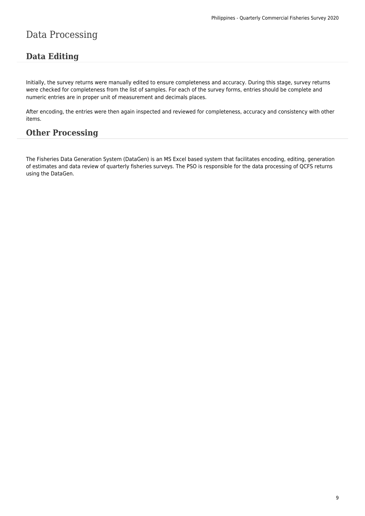## Data Processing

## **Data Editing**

Initially, the survey returns were manually edited to ensure completeness and accuracy. During this stage, survey returns were checked for completeness from the list of samples. For each of the survey forms, entries should be complete and numeric entries are in proper unit of measurement and decimals places.

After encoding, the entries were then again inspected and reviewed for completeness, accuracy and consistency with other items.

## **Other Processing**

The Fisheries Data Generation System (DataGen) is an MS Excel based system that facilitates encoding, editing, generation of estimates and data review of quarterly fisheries surveys. The PSO is responsible for the data processing of QCFS returns using the DataGen.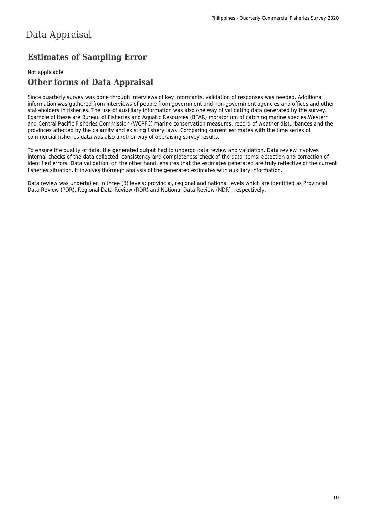## Data Appraisal

## **Estimates of Sampling Error**

### Not applicable

## **Other forms of Data Appraisal**

Since quarterly survey was done through interviews of key informants, validation of responses was needed. Additional information was gathered from interviews of people from government and non-government agencies and offices and other stakeholders in fisheries. The use of auxilliary information was also one way of validating data generated by the survey. Example of these are Bureau of Fisheries and Aquatic Resources (BFAR) moratorium of catching marine species,Western and Central Pacific Fisheries Commission (WCPFC) marine conservation measures, record of weather disturbances and the provinces affected by the calamity and existing fishery laws. Comparing current estimates with the time series of commercial fisheries data was also another way of appraising survey results.

To ensure the quality of data, the generated output had to undergo data review and validation. Data review involves internal checks of the data collected, consistency and completeness check of the data items; detection and correction of identified errors. Data validation, on the other hand, ensures that the estimates generated are truly reflective of the current fisheries situation. It involves thorough analysis of the generated estimates with auxiliary information.

Data review was undertaken in three (3) levels: provincial, regional and national levels which are identified as Provincial Data Review (PDR), Regional Data Review (RDR) and National Data Review (NDR), respectively.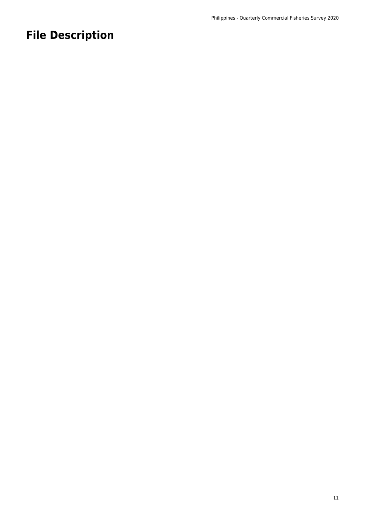## **File Description**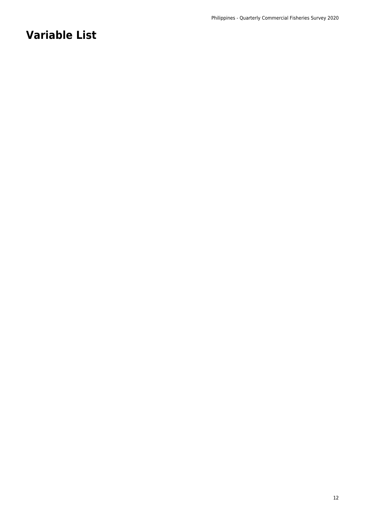## **Variable List**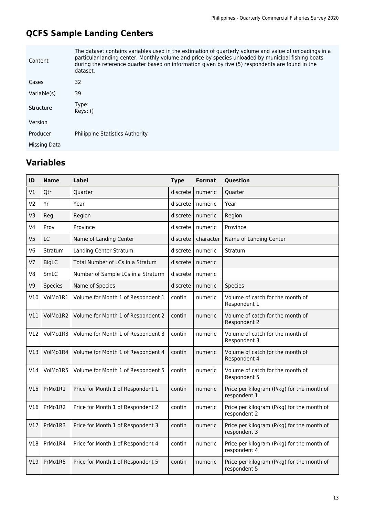## **QCFS Sample Landing Centers**

| The dataset contains variables used in the estimation of guarterly volume and value of unloadings in a<br>particular landing center. Monthly volume and price by species unloaded by municipal fishing boats<br>during the reference quarter based on information given by five (5) respondents are found in the<br>dataset. |
|------------------------------------------------------------------------------------------------------------------------------------------------------------------------------------------------------------------------------------------------------------------------------------------------------------------------------|
| 32                                                                                                                                                                                                                                                                                                                           |
| 39                                                                                                                                                                                                                                                                                                                           |
| Type:<br>Keys: ()                                                                                                                                                                                                                                                                                                            |
|                                                                                                                                                                                                                                                                                                                              |
| <b>Philippine Statistics Authority</b>                                                                                                                                                                                                                                                                                       |
|                                                                                                                                                                                                                                                                                                                              |
|                                                                                                                                                                                                                                                                                                                              |

## **Variables**

| ID             | <b>Name</b>  | Label                              | <b>Type</b> | <b>Format</b> | Question                                                   |
|----------------|--------------|------------------------------------|-------------|---------------|------------------------------------------------------------|
| V1             | Qtr          | Quarter                            | discrete    | numeric       | Quarter                                                    |
| V <sub>2</sub> | Yr           | Year                               | discrete    | numeric       | Year                                                       |
| V <sub>3</sub> | Reg          | Region                             | discrete    | numeric       | Region                                                     |
| V <sub>4</sub> | Prov         | Province                           | discrete    | numeric       | Province                                                   |
| V <sub>5</sub> | LC           | Name of Landing Center             | discrete    | character     | Name of Landing Center                                     |
| V <sub>6</sub> | Stratum      | Landing Center Stratum             | discrete    | numeric       | Stratum                                                    |
| V <sub>7</sub> | <b>BigLC</b> | Total Number of LCs in a Stratum   | discrete    | numeric       |                                                            |
| V <sub>8</sub> | SmLC         | Number of Sample LCs in a Straturm | discrete    | numeric       |                                                            |
| V <sub>9</sub> | Species      | Name of Species                    | discrete    | numeric       | Species                                                    |
| V10            | VolMo1R1     | Volume for Month 1 of Respondent 1 | contin      | numeric       | Volume of catch for the month of<br>Respondent 1           |
| V11            | VolMo1R2     | Volume for Month 1 of Respondent 2 | contin      | numeric       | Volume of catch for the month of<br>Respondent 2           |
| V12            | VolMo1R3     | Volume for Month 1 of Respondent 3 | contin      | numeric       | Volume of catch for the month of<br>Respondent 3           |
| V13            | VolMo1R4     | Volume for Month 1 of Respondent 4 | contin      | numeric       | Volume of catch for the month of<br>Respondent 4           |
| V14            | VolMo1R5     | Volume for Month 1 of Respondent 5 | contin      | numeric       | Volume of catch for the month of<br>Respondent 5           |
| V15            | PrMo1R1      | Price for Month 1 of Respondent 1  | contin      | numeric       | Price per kilogram (P/kg) for the month of<br>respondent 1 |
| V16            | PrMo1R2      | Price for Month 1 of Respondent 2  | contin      | numeric       | Price per kilogram (P/kg) for the month of<br>respondent 2 |
| V17            | PrMo1R3      | Price for Month 1 of Respondent 3  | contin      | numeric       | Price per kilogram (P/kg) for the month of<br>respondent 3 |
| V18            | PrMo1R4      | Price for Month 1 of Respondent 4  | contin      | numeric       | Price per kilogram (P/kg) for the month of<br>respondent 4 |
| V19            | PrMo1R5      | Price for Month 1 of Respondent 5  | contin      | numeric       | Price per kilogram (P/kg) for the month of<br>respondent 5 |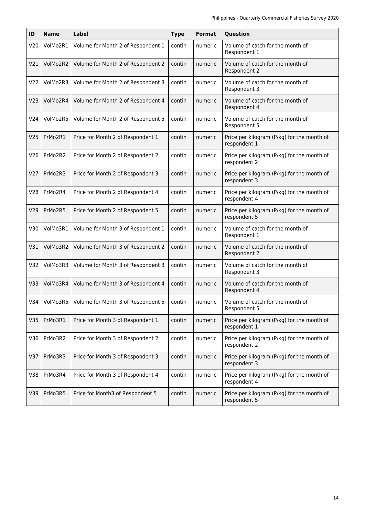| ID              | <b>Name</b> | Label                              | <b>Type</b> | <b>Format</b> | Question                                                   |
|-----------------|-------------|------------------------------------|-------------|---------------|------------------------------------------------------------|
| V <sub>20</sub> | VolMo2R1    | Volume for Month 2 of Respondent 1 | contin      | numeric       | Volume of catch for the month of<br>Respondent 1           |
| V <sub>21</sub> | VolMo2R2    | Volume for Month 2 of Respondent 2 | contin      | numeric       | Volume of catch for the month of<br>Respondent 2           |
| V <sub>22</sub> | VolMo2R3    | Volume for Month 2 of Respondent 3 | contin      | numeric       | Volume of catch for the month of<br>Respondent 3           |
| V <sub>23</sub> | VolMo2R4    | Volume for Month 2 of Respondent 4 | contin      | numeric       | Volume of catch for the month of<br>Respondent 4           |
| V <sub>24</sub> | VolMo2R5    | Volume for Month 2 of Respondent 5 | contin      | numeric       | Volume of catch for the month of<br>Respondent 5           |
| V <sub>25</sub> | PrMo2R1     | Price for Month 2 of Respondent 1  | contin      | numeric       | Price per kilogram (P/kg) for the month of<br>respondent 1 |
| V26             | PrMo2R2     | Price for Month 2 of Respondent 2  | contin      | numeric       | Price per kilogram (P/kg) for the month of<br>respondent 2 |
| V <sub>27</sub> | PrMo2R3     | Price for Month 2 of Respondent 3  | contin      | numeric       | Price per kilogram (P/kg) for the month of<br>respondent 3 |
| V28             | PrMo2R4     | Price for Month 2 of Respondent 4  | contin      | numeric       | Price per kilogram (P/kg) for the month of<br>respondent 4 |
| V29             | PrMo2R5     | Price for Month 2 of Respondent 5  | contin      | numeric       | Price per kilogram (P/kg) for the month of<br>respondent 5 |
| V30             | VolMo3R1    | Volume for Month 3 of Respondent 1 | contin      | numeric       | Volume of catch for the month of<br>Respondent 1           |
| V31             | VolMo3R2    | Volume for Month 3 of Respondent 2 | contin      | numeric       | Volume of catch for the month of<br>Respondent 2           |
| V <sub>32</sub> | VolMo3R3    | Volume for Month 3 of Respondent 3 | contin      | numeric       | Volume of catch for the month of<br>Respondent 3           |
| V <sub>33</sub> | VolMo3R4    | Volume for Month 3 of Respondent 4 | contin      | numeric       | Volume of catch for the month of<br>Respondent 4           |
| V34             | VolMo3R5    | Volume for Month 3 of Respondent 5 | contin      | numeric       | Volume of catch for the month of<br>Respondent 5           |
| V35             | PrMo3R1     | Price for Month 3 of Respondent 1  | contin      | numeric       | Price per kilogram (P/kg) for the month of<br>respondent 1 |
| V36             | PrMo3R2     | Price for Month 3 of Respondent 2  | contin      | numeric       | Price per kilogram (P/kg) for the month of<br>respondent 2 |
| V <sub>37</sub> | PrMo3R3     | Price for Month 3 of Respondent 3  | contin      | numeric       | Price per kilogram (P/kg) for the month of<br>respondent 3 |
| V38             | PrMo3R4     | Price for Month 3 of Respondent 4  | contin      | numeric       | Price per kilogram (P/kg) for the month of<br>respondent 4 |
| V39             | PrMo3R5     | Price for Month3 of Respondent 5   | contin      | numeric       | Price per kilogram (P/kg) for the month of<br>respondent 5 |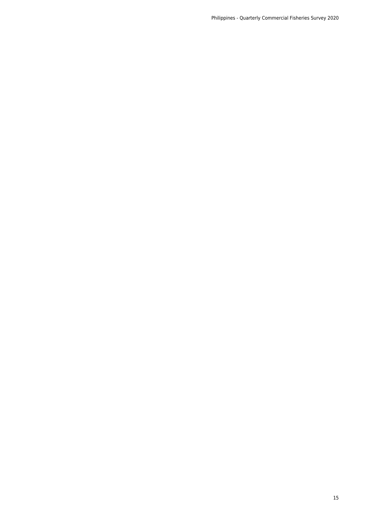Philippines - Quarterly Commercial Fisheries Survey 2020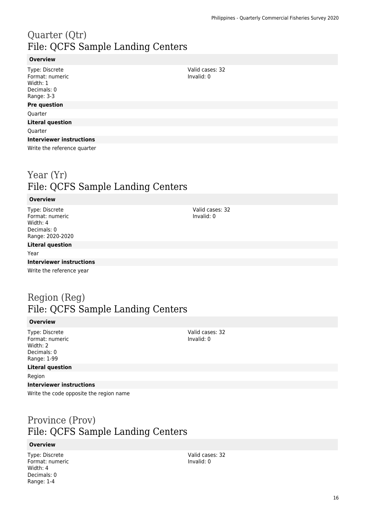## Quarter (Qtr) File: QCFS Sample Landing Centers

### **Overview**

Type: Discrete Format: numeric Width: 1 Decimals: 0 Range: 3-3

### **Pre question**

**Ouarter** 

**Literal question**

Quarter

## **Interviewer instructions**

Write the reference quarter

## Year (Yr) File: QCFS Sample Landing Centers

### **Overview**

Type: Discrete Format: numeric Width: 4 Decimals: 0 Range: 2020-2020

### **Literal question**

Year

### **Interviewer instructions**

Write the reference year

## Region (Reg) File: QCFS Sample Landing Centers

### **Overview**

Type: Discrete Format: numeric Width: 2 Decimals: 0 Range: 1-99

### **Literal question**

Region

**Interviewer instructions** Write the code opposite the region name

## Province (Prov) File: QCFS Sample Landing Centers

## **Overview**

Type: Discrete Format: numeric Width: 4 Decimals: 0 Range: 1-4

Valid cases: 32 Invalid: 0

Valid cases: 32 Invalid: 0

Valid cases: 32 Invalid: 0

Valid cases: 32 Invalid: 0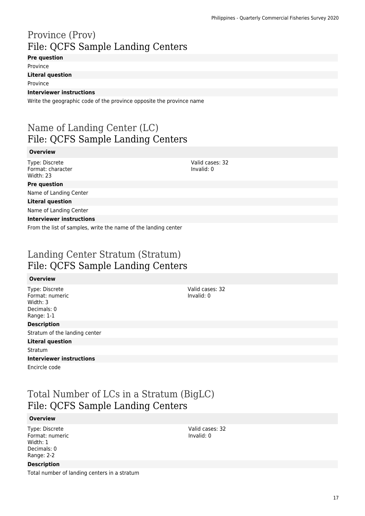## Province (Prov) File: QCFS Sample Landing Centers

## **Pre question**

Province

### **Literal question**

Province

## **Interviewer instructions**

Write the geographic code of the province opposite the province name

## Name of Landing Center (LC) File: QCFS Sample Landing Centers

## **Overview**

Type: Discrete Format: character Width: 23

## **Pre question**

Name of Landing Center

### **Literal question**

Name of Landing Center

## **Interviewer instructions**

From the list of samples, write the name of the landing center

## Landing Center Stratum (Stratum) File: QCFS Sample Landing Centers

## **Overview**

Type: Discrete Format: numeric Width: 3 Decimals: 0 Range: 1-1

## **Description**

Stratum of the landing center

## **Literal question**

Stratum

**Interviewer instructions**

Encircle code

## Total Number of LCs in a Stratum (BigLC) File: QCFS Sample Landing Centers

## **Overview**

Type: Discrete Format: numeric Width: 1 Decimals: 0 Range: 2-2

## **Description**

Total number of landing centers in a stratum

Valid cases: 32 Invalid: 0

Valid cases: 32 Invalid: 0

## Valid cases: 32

Invalid: 0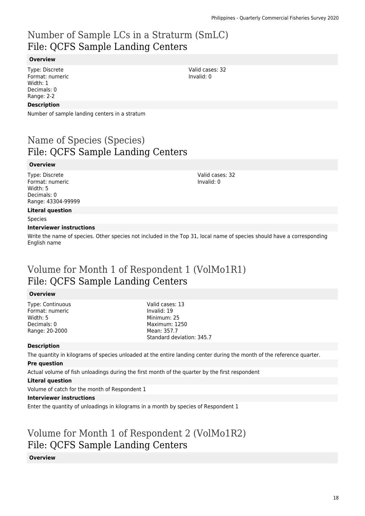## Number of Sample LCs in a Straturm (SmLC) File: QCFS Sample Landing Centers

## **Overview**

Type: Discrete Format: numeric Width: 1 Decimals: 0 Range: 2-2

## **Description**

Number of sample landing centers in a stratum

## Name of Species (Species) File: QCFS Sample Landing Centers

#### **Overview**

Type: Discrete Format: numeric Width: 5 Decimals: 0 Range: 43304-99999 Valid cases: 32 Invalid: 0

Valid cases: 32 Invalid: 0

## **Literal question**

Species

### **Interviewer instructions**

Write the name of species. Other species not included in the Top 31, local name of species should have a corresponding English name

## Volume for Month 1 of Respondent 1 (VolMo1R1) File: QCFS Sample Landing Centers

## **Overview**

Type: Continuous Format: numeric Width: 5 Decimals: 0 Range: 20-2000

Valid cases: 13 Invalid: 19 Minimum: 25 Maximum: 1250 Mean: 357.7 Standard deviation: 345.7

## **Description**

The quantity in kilograms of species unloaded at the entire landing center during the month of the reference quarter.

### **Pre question**

Actual volume of fish unloadings during the first month of the quarter by the first respondent

## **Literal question**

Volume of catch for the month of Respondent 1

### **Interviewer instructions**

Enter the quantity of unloadings in kilograms in a month by species of Respondent 1

## Volume for Month 1 of Respondent 2 (VolMo1R2) File: QCFS Sample Landing Centers

### **Overview**

18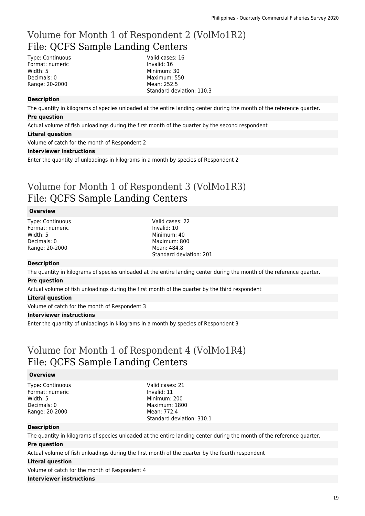## Volume for Month 1 of Respondent 2 (VolMo1R2) File: QCFS Sample Landing Centers

Type: Continuous Format: numeric Width: 5 Decimals: 0 Range: 20-2000

Valid cases: 16 Invalid: 16 Minimum: 30 Maximum: 550 Mean: 252.5 Standard deviation: 110.3

## **Description**

The quantity in kilograms of species unloaded at the entire landing center during the month of the reference quarter. **Pre question**

Actual volume of fish unloadings during the first month of the quarter by the second respondent

### **Literal question**

Volume of catch for the month of Respondent 2

### **Interviewer instructions**

Enter the quantity of unloadings in kilograms in a month by species of Respondent 2

## Volume for Month 1 of Respondent 3 (VolMo1R3) File: QCFS Sample Landing Centers

### **Overview**

Type: Continuous Format: numeric Width: 5 Decimals: 0 Range: 20-2000

Valid cases: 22 Invalid: 10 Minimum: 40 Maximum: 800 Mean: 484.8 Standard deviation: 201

#### **Description**

The quantity in kilograms of species unloaded at the entire landing center during the month of the reference quarter.

#### **Pre question**

Actual volume of fish unloadings during the first month of the quarter by the third respondent

#### **Literal question**

Volume of catch for the month of Respondent 3

#### **Interviewer instructions**

Enter the quantity of unloadings in kilograms in a month by species of Respondent 3

## Volume for Month 1 of Respondent 4 (VolMo1R4) File: QCFS Sample Landing Centers

#### **Overview**

Type: Continuous Format: numeric Width: 5 Decimals: 0 Range: 20-2000

Valid cases: 21 Invalid: 11 Minimum: 200 Maximum: 1800 Mean: 772.4 Standard deviation: 310.1

#### **Description**

The quantity in kilograms of species unloaded at the entire landing center during the month of the reference quarter.

## **Pre question**

Actual volume of fish unloadings during the first month of the quarter by the fourth respondent

## **Literal question**

Volume of catch for the month of Respondent 4

## **Interviewer instructions**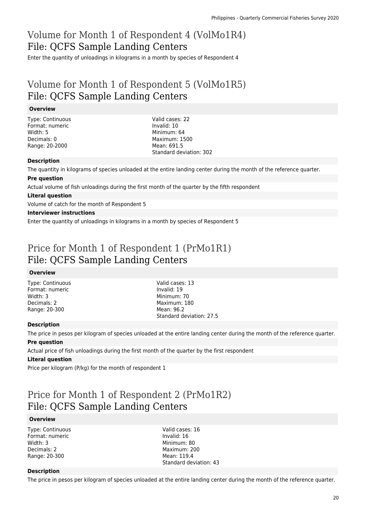## Volume for Month 1 of Respondent 4 (VolMo1R4) File: QCFS Sample Landing Centers

Enter the quantity of unloadings in kilograms in a month by species of Respondent 4

## Volume for Month 1 of Respondent 5 (VolMo1R5) File: QCFS Sample Landing Centers

## **Overview**

Type: Continuous Format: numeric Width: 5 Decimals: 0 Range: 20-2000

Valid cases: 22 Invalid: 10 Minimum: 64 Maximum: 1500 Mean: 691.5 Standard deviation: 302

### **Description**

The quantity in kilograms of species unloaded at the entire landing center during the month of the reference quarter.

## **Pre question**

Actual volume of fish unloadings during the first month of the quarter by the fifth respondent

## **Literal question**

Volume of catch for the month of Respondent 5

### **Interviewer instructions**

Enter the quantity of unloadings in kilograms in a month by species of Respondent 5

## Price for Month 1 of Respondent 1 (PrMo1R1) File: QCFS Sample Landing Centers

#### **Overview**

Type: Continuous Format: numeric Width: 3 Decimals: 2 Range: 20-300

Valid cases: 13 Invalid: 19 Minimum: 70 Maximum: 180 Mean: 96.2 Standard deviation: 27.5

### **Description**

The price in pesos per kilogram of species unloaded at the entire landing center during the month of the reference quarter.

### **Pre question**

Actual price of fish unloadings during the first month of the quarter by the first respondent

### **Literal question**

Price per kilogram (P/kg) for the month of respondent 1

## Price for Month 1 of Respondent 2 (PrMo1R2) File: QCFS Sample Landing Centers

### **Overview**

Type: Continuous Format: numeric Width: 3 Decimals: 2 Range: 20-300

Valid cases: 16 Invalid: 16 Minimum: 80 Maximum: 200 Mean: 119.4 Standard deviation: 43

### **Description**

The price in pesos per kilogram of species unloaded at the entire landing center during the month of the reference quarter.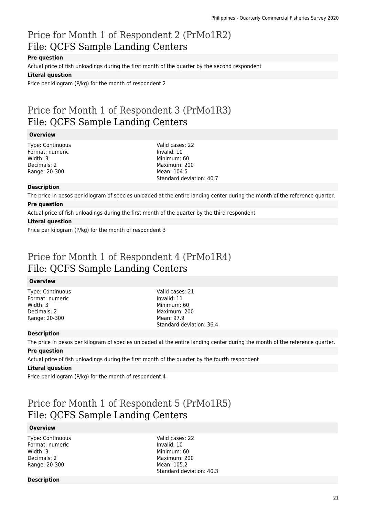## Price for Month 1 of Respondent 2 (PrMo1R2) File: QCFS Sample Landing Centers

## **Pre question**

Actual price of fish unloadings during the first month of the quarter by the second respondent

### **Literal question**

Price per kilogram (P/kg) for the month of respondent 2

## Price for Month 1 of Respondent 3 (PrMo1R3) File: QCFS Sample Landing Centers

## **Overview**

Type: Continuous Format: numeric Width: 3 Decimals: 2 Range: 20-300

Valid cases: 22 Invalid: 10 Minimum: 60 Maximum: 200 Mean: 104.5 Standard deviation: 40.7

## **Description**

The price in pesos per kilogram of species unloaded at the entire landing center during the month of the reference quarter.

### **Pre question**

Actual price of fish unloadings during the first month of the quarter by the third respondent

### **Literal question**

Price per kilogram (P/kg) for the month of respondent 3

## Price for Month 1 of Respondent 4 (PrMo1R4) File: QCFS Sample Landing Centers

### **Overview**

Type: Continuous Format: numeric Width: 3 Decimals: 2 Range: 20-300

Valid cases: 21 Invalid: 11 Minimum: 60 Maximum: 200 Mean: 97.9 Standard deviation: 36.4

### **Description**

The price in pesos per kilogram of species unloaded at the entire landing center during the month of the reference quarter. **Pre question**

## Actual price of fish unloadings during the first month of the quarter by the fourth respondent

### **Literal question**

Price per kilogram (P/kg) for the month of respondent 4

## Price for Month 1 of Respondent 5 (PrMo1R5) File: QCFS Sample Landing Centers

## **Overview**

Type: Continuous Format: numeric Width: 3 Decimals: 2 Range: 20-300

Valid cases: 22 Invalid: 10 Minimum: 60 Maximum: 200 Mean: 105.2 Standard deviation: 40.3

#### **Description**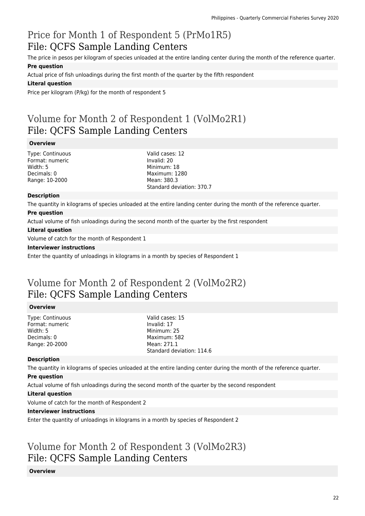## Price for Month 1 of Respondent 5 (PrMo1R5) File: QCFS Sample Landing Centers

The price in pesos per kilogram of species unloaded at the entire landing center during the month of the reference quarter.

## **Pre question**

Actual price of fish unloadings during the first month of the quarter by the fifth respondent

**Literal question**

Price per kilogram (P/kg) for the month of respondent 5

## Volume for Month 2 of Respondent 1 (VolMo2R1) File: QCFS Sample Landing Centers

## **Overview**

Type: Continuous Format: numeric Width: 5 Decimals: 0 Range: 10-2000

Valid cases: 12 Invalid: 20 Minimum: 18 Maximum: 1280 Mean: 380.3 Standard deviation: 370.7

## **Description**

The quantity in kilograms of species unloaded at the entire landing center during the month of the reference quarter.

## **Pre question**

Actual volume of fish unloadings during the second month of the quarter by the first respondent

## **Literal question**

Volume of catch for the month of Respondent 1

## **Interviewer instructions**

Enter the quantity of unloadings in kilograms in a month by species of Respondent 1

## Volume for Month 2 of Respondent 2 (VolMo2R2) File: QCFS Sample Landing Centers

## **Overview**

Type: Continuous Format: numeric Width: 5 Decimals: 0 Range: 20-2000

Valid cases: 15 Invalid: 17 Minimum: 25 Maximum: 582 Mean: 271.1 Standard deviation: 114.6

## **Description**

The quantity in kilograms of species unloaded at the entire landing center during the month of the reference quarter.

## **Pre question**

Actual volume of fish unloadings during the second month of the quarter by the second respondent

## **Literal question**

Volume of catch for the month of Respondent 2

## **Interviewer instructions**

Enter the quantity of unloadings in kilograms in a month by species of Respondent 2

## Volume for Month 2 of Respondent 3 (VolMo2R3) File: QCFS Sample Landing Centers

**Overview**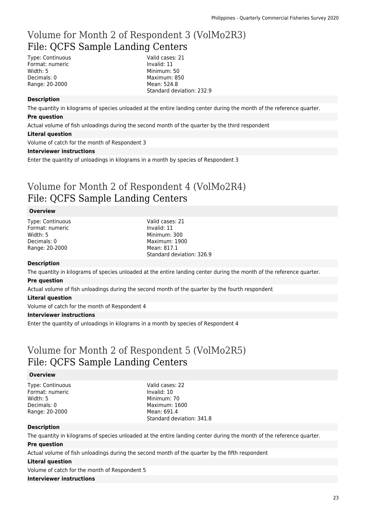## Volume for Month 2 of Respondent 3 (VolMo2R3) File: QCFS Sample Landing Centers

Type: Continuous Format: numeric Width: 5 Decimals: 0 Range: 20-2000

Valid cases: 21 Invalid: 11 Minimum: 50 Maximum: 850 Mean: 524.8 Standard deviation: 232.9

## **Description**

The quantity in kilograms of species unloaded at the entire landing center during the month of the reference quarter. **Pre question**

Actual volume of fish unloadings during the second month of the quarter by the third respondent

### **Literal question**

Volume of catch for the month of Respondent 3

### **Interviewer instructions**

Enter the quantity of unloadings in kilograms in a month by species of Respondent 3

## Volume for Month 2 of Respondent 4 (VolMo2R4) File: QCFS Sample Landing Centers

### **Overview**

Type: Continuous Format: numeric Width: 5 Decimals: 0 Range: 20-2000

Valid cases: 21 Invalid: 11 Minimum: 300 Maximum: 1900 Mean: 817.1 Standard deviation: 326.9

### **Description**

The quantity in kilograms of species unloaded at the entire landing center during the month of the reference quarter.

### **Pre question**

Actual volume of fish unloadings during the second month of the quarter by the fourth respondent

### **Literal question**

Volume of catch for the month of Respondent 4

### **Interviewer instructions**

Enter the quantity of unloadings in kilograms in a month by species of Respondent 4

## Volume for Month 2 of Respondent 5 (VolMo2R5) File: QCFS Sample Landing Centers

### **Overview**

Type: Continuous Format: numeric Width: 5 Decimals: 0 Range: 20-2000

Valid cases: 22 Invalid: 10 Minimum: 70 Maximum: 1600 Mean: 691.4 Standard deviation: 341.8

#### **Description**

The quantity in kilograms of species unloaded at the entire landing center during the month of the reference quarter.

## **Pre question**

Actual volume of fish unloadings during the second month of the quarter by the fifth respondent

### **Literal question**

Volume of catch for the month of Respondent 5

## **Interviewer instructions**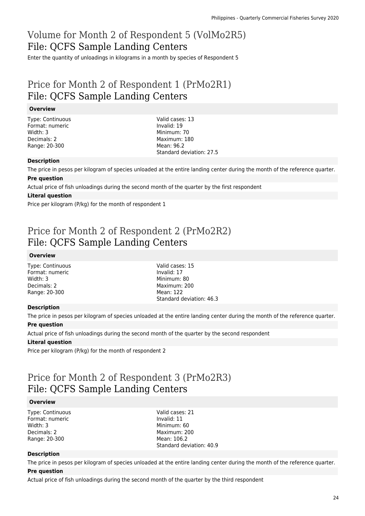## Volume for Month 2 of Respondent 5 (VolMo2R5) File: QCFS Sample Landing Centers

Enter the quantity of unloadings in kilograms in a month by species of Respondent 5

## Price for Month 2 of Respondent 1 (PrMo2R1) File: QCFS Sample Landing Centers

## **Overview**

Type: Continuous Format: numeric Width: 3 Decimals: 2 Range: 20-300

Valid cases: 13 Invalid: 19 Minimum: 70 Maximum: 180 Mean: 96.2 Standard deviation: 27.5

### **Description**

The price in pesos per kilogram of species unloaded at the entire landing center during the month of the reference quarter. **Pre question**

Actual price of fish unloadings during the second month of the quarter by the first respondent

#### **Literal question**

Price per kilogram (P/kg) for the month of respondent 1

## Price for Month 2 of Respondent 2 (PrMo2R2) File: QCFS Sample Landing Centers

#### **Overview**

Type: Continuous Format: numeric Width: 3 Decimals: 2 Range: 20-300

Valid cases: 15 Invalid: 17 Minimum: 80 Maximum: 200 Mean: 122 Standard deviation: 46.3

### **Description**

The price in pesos per kilogram of species unloaded at the entire landing center during the month of the reference quarter.

### **Pre question**

Actual price of fish unloadings during the second month of the quarter by the second respondent

#### **Literal question**

Price per kilogram (P/kg) for the month of respondent 2

## Price for Month 2 of Respondent 3 (PrMo2R3) File: QCFS Sample Landing Centers

#### **Overview**

Type: Continuous Format: numeric Width: 3 Decimals: 2 Range: 20-300

Valid cases: 21 Invalid: 11 Minimum: 60 Maximum: 200 Mean: 106.2 Standard deviation: 40.9

## **Description**

The price in pesos per kilogram of species unloaded at the entire landing center during the month of the reference quarter.

## **Pre question**

Actual price of fish unloadings during the second month of the quarter by the third respondent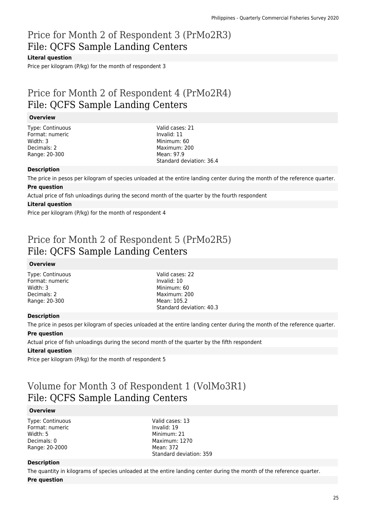## Price for Month 2 of Respondent 3 (PrMo2R3) File: QCFS Sample Landing Centers

**Literal question**

Price per kilogram (P/kg) for the month of respondent 3

## Price for Month 2 of Respondent 4 (PrMo2R4) File: QCFS Sample Landing Centers

## **Overview**

Type: Continuous Format: numeric Width: 3 Decimals: 2 Range: 20-300

Valid cases: 21 Invalid: 11 Minimum: 60 Maximum: 200 Mean: 97.9 Standard deviation: 36.4

## **Description**

The price in pesos per kilogram of species unloaded at the entire landing center during the month of the reference quarter. **Pre question**

Actual price of fish unloadings during the second month of the quarter by the fourth respondent

### **Literal question**

Price per kilogram (P/kg) for the month of respondent 4

## Price for Month 2 of Respondent 5 (PrMo2R5) File: QCFS Sample Landing Centers

### **Overview**

Type: Continuous Format: numeric Width: 3 Decimals: 2 Range: 20-300

Valid cases: 22 Invalid: 10 Minimum: 60 Maximum: 200 Mean: 105.2 Standard deviation: 40.3

## **Description**

The price in pesos per kilogram of species unloaded at the entire landing center during the month of the reference quarter.

## **Pre question**

Actual price of fish unloadings during the second month of the quarter by the fifth respondent

### **Literal question**

Price per kilogram (P/kg) for the month of respondent 5

## Volume for Month 3 of Respondent 1 (VolMo3R1) File: QCFS Sample Landing Centers

### **Overview**

Type: Continuous Format: numeric Width: 5 Decimals: 0 Range: 20-2000

Valid cases: 13 Invalid: 19 Minimum: 21 Maximum: 1270 Mean: 372 Standard deviation: 359

### **Description**

The quantity in kilograms of species unloaded at the entire landing center during the month of the reference quarter. **Pre question**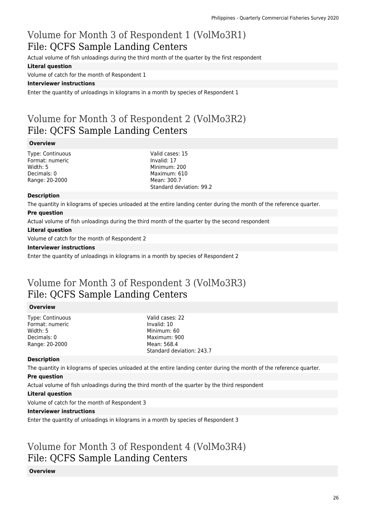## Volume for Month 3 of Respondent 1 (VolMo3R1) File: QCFS Sample Landing Centers

Actual volume of fish unloadings during the third month of the quarter by the first respondent

## **Literal question**

Volume of catch for the month of Respondent 1

## **Interviewer instructions**

Enter the quantity of unloadings in kilograms in a month by species of Respondent 1

## Volume for Month 3 of Respondent 2 (VolMo3R2) File: QCFS Sample Landing Centers

## **Overview**

Type: Continuous Format: numeric Width: 5 Decimals: 0 Range: 20-2000

Valid cases: 15 Invalid: 17 Minimum: 200 Maximum: 610 Mean: 300.7 Standard deviation: 99.2

## **Description**

The quantity in kilograms of species unloaded at the entire landing center during the month of the reference quarter.

## **Pre question**

Actual volume of fish unloadings during the third month of the quarter by the second respondent

### **Literal question**

Volume of catch for the month of Respondent 2

#### **Interviewer instructions**

Enter the quantity of unloadings in kilograms in a month by species of Respondent 2

## Volume for Month 3 of Respondent 3 (VolMo3R3) File: QCFS Sample Landing Centers

### **Overview**

Type: Continuous Format: numeric Width: 5 Decimals: 0 Range: 20-2000

Valid cases: 22 Invalid: 10 Minimum: 60 Maximum: 900 Mean: 568.4 Standard deviation: 243.7

### **Description**

The quantity in kilograms of species unloaded at the entire landing center during the month of the reference quarter.

### **Pre question**

Actual volume of fish unloadings during the third month of the quarter by the third respondent

## **Literal question**

Volume of catch for the month of Respondent 3

## **Interviewer instructions**

Enter the quantity of unloadings in kilograms in a month by species of Respondent 3

## Volume for Month 3 of Respondent 4 (VolMo3R4) File: QCFS Sample Landing Centers

**Overview**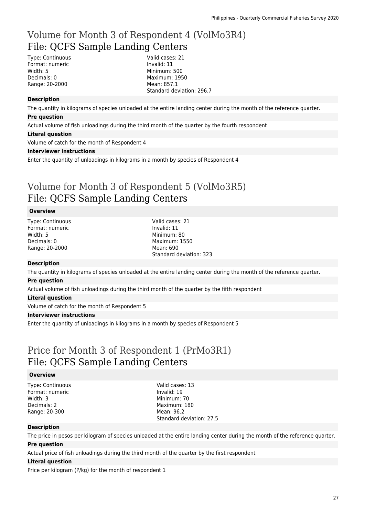## Volume for Month 3 of Respondent 4 (VolMo3R4) File: QCFS Sample Landing Centers

Type: Continuous Format: numeric Width: 5 Decimals: 0 Range: 20-2000

Valid cases: 21 Invalid: 11 Minimum: 500 Maximum: 1950 Mean: 857.1 Standard deviation: 296.7

## **Description**

The quantity in kilograms of species unloaded at the entire landing center during the month of the reference quarter. **Pre question**

Actual volume of fish unloadings during the third month of the quarter by the fourth respondent

### **Literal question**

Volume of catch for the month of Respondent 4

### **Interviewer instructions**

Enter the quantity of unloadings in kilograms in a month by species of Respondent 4

## Volume for Month 3 of Respondent 5 (VolMo3R5) File: QCFS Sample Landing Centers

### **Overview**

Type: Continuous Format: numeric Width: 5 Decimals: 0 Range: 20-2000

Valid cases: 21 Invalid: 11 Minimum: 80 Maximum: 1550 Mean: 690 Standard deviation: 323

### **Description**

The quantity in kilograms of species unloaded at the entire landing center during the month of the reference quarter.

### **Pre question**

Actual volume of fish unloadings during the third month of the quarter by the fifth respondent

### **Literal question**

Volume of catch for the month of Respondent 5

### **Interviewer instructions**

Enter the quantity of unloadings in kilograms in a month by species of Respondent 5

## Price for Month 3 of Respondent 1 (PrMo3R1) File: QCFS Sample Landing Centers

#### **Overview**

Type: Continuous Format: numeric Width: 3 Decimals: 2 Range: 20-300

Valid cases: 13 Invalid: 19 Minimum: 70 Maximum: 180 Mean: 96.2 Standard deviation: 27.5

### **Description**

The price in pesos per kilogram of species unloaded at the entire landing center during the month of the reference quarter. **Pre question**

Actual price of fish unloadings during the third month of the quarter by the first respondent

### **Literal question**

Price per kilogram (P/kg) for the month of respondent 1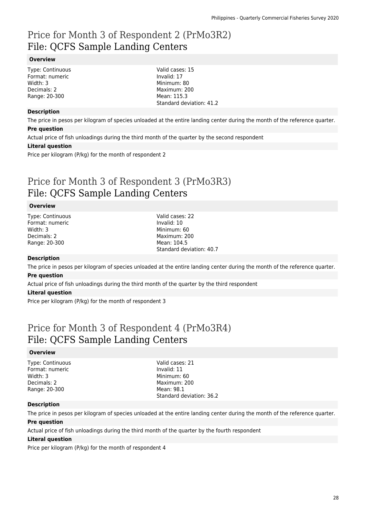## Price for Month 3 of Respondent 2 (PrMo3R2) File: QCFS Sample Landing Centers

## **Overview**

Type: Continuous Format: numeric Width: 3 Decimals: 2 Range: 20-300

Valid cases: 15 Invalid: 17 Minimum: 80 Maximum: 200 Mean: 115.3 Standard deviation: 41.2

## **Description**

The price in pesos per kilogram of species unloaded at the entire landing center during the month of the reference quarter.

## **Pre question**

Actual price of fish unloadings during the third month of the quarter by the second respondent

## **Literal question**

Price per kilogram (P/kg) for the month of respondent 2

## Price for Month 3 of Respondent 3 (PrMo3R3) File: QCFS Sample Landing Centers

## **Overview**

Type: Continuous Format: numeric Width: 3 Decimals: 2 Range: 20-300

Valid cases: 22 Invalid: 10 Minimum: 60 Maximum: 200 Mean: 104.5 Standard deviation: 40.7

## **Description**

The price in pesos per kilogram of species unloaded at the entire landing center during the month of the reference quarter. **Pre question**

Actual price of fish unloadings during the third month of the quarter by the third respondent

### **Literal question**

Price per kilogram (P/kg) for the month of respondent 3

## Price for Month 3 of Respondent 4 (PrMo3R4) File: QCFS Sample Landing Centers

### **Overview**

Type: Continuous Format: numeric Width: 3 Decimals: 2 Range: 20-300

Valid cases: 21 Invalid: 11 Minimum: 60 Maximum: 200 Mean: 98.1 Standard deviation: 36.2

### **Description**

The price in pesos per kilogram of species unloaded at the entire landing center during the month of the reference quarter.

### **Pre question**

Actual price of fish unloadings during the third month of the quarter by the fourth respondent

### **Literal question**

Price per kilogram (P/kg) for the month of respondent 4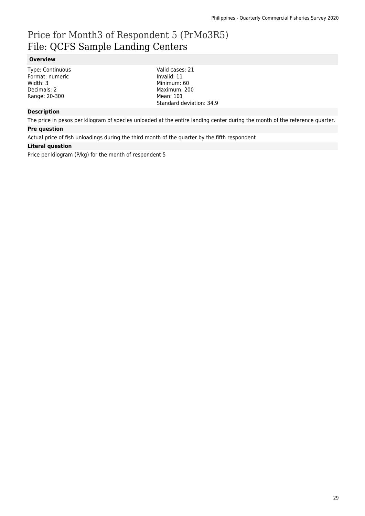## Price for Month3 of Respondent 5 (PrMo3R5) File: QCFS Sample Landing Centers

## **Overview**

Type: Continuous Format: numeric Width: 3 Decimals: 2 Range: 20-300

Valid cases: 21 Invalid: 11 Minimum: 60 Maximum: 200 Mean: 101 Standard deviation: 34.9

### **Description**

The price in pesos per kilogram of species unloaded at the entire landing center during the month of the reference quarter.

### **Pre question**

Actual price of fish unloadings during the third month of the quarter by the fifth respondent

## **Literal question**

Price per kilogram (P/kg) for the month of respondent 5